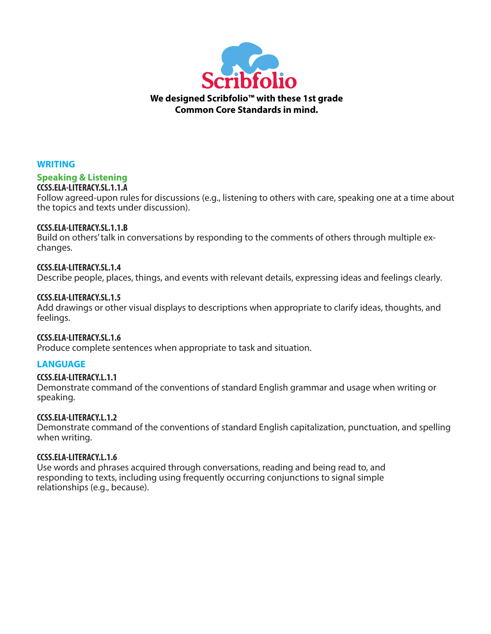

## **WRITING**

#### **Speaking & Listening CCSS.ELA-LITERACY.SL.1.1.A**

Follow agreed-upon rules for discussions (e.g., listening to others with care, speaking one at a time about the topics and texts under discussion).

## **CCSS.ELA-LITERACY.SL.1.1.B**

Build on others' talk in conversations by responding to the comments of others through multiple exchanges.

## **CCSS.ELA-LITERACY.SL.1.4**

Describe people, places, things, and events with relevant details, expressing ideas and feelings clearly.

## **CCSS.ELA-LITERACY.SL.1.5**

Add drawings or other visual displays to descriptions when appropriate to clarify ideas, thoughts, and feelings.

# **CCSS.ELA-LITERACY.SL.1.6**

Produce complete sentences when appropriate to task and situation.

# **LANGUAGE**

## **CCSS.ELA-LITERACY.L.1.1**

Demonstrate command of the conventions of standard English grammar and usage when writing or speaking.

## **CCSS.ELA-LITERACY.L.1.2**

Demonstrate command of the conventions of standard English capitalization, punctuation, and spelling when writing.

## **CCSS.ELA-LITERACY.L.1.6**

Use words and phrases acquired through conversations, reading and being read to, and responding to texts, including using frequently occurring conjunctions to signal simple relationships (e.g., because).